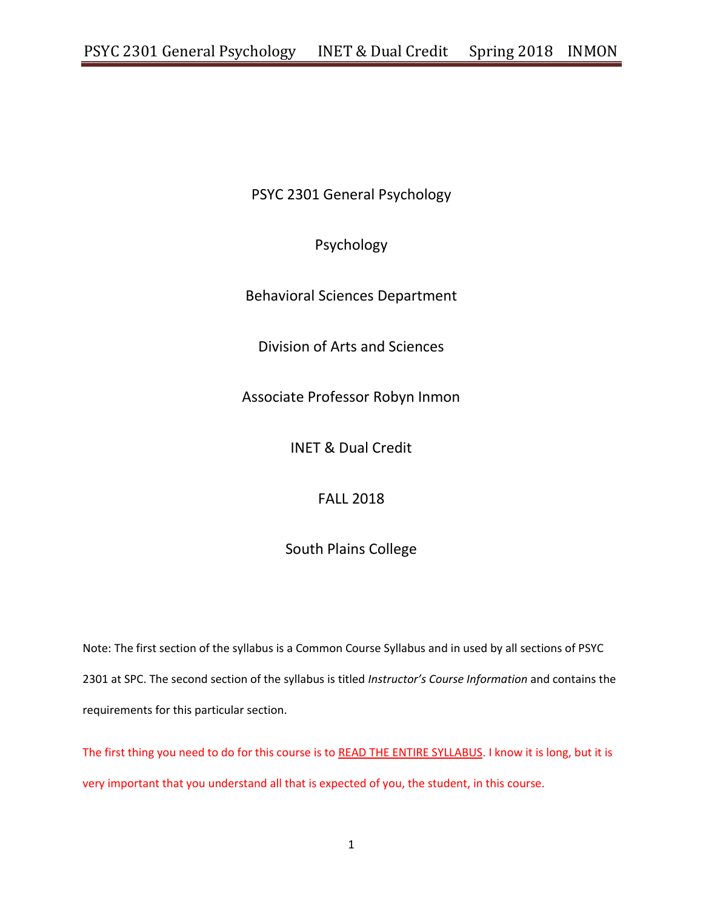PSYC 2301 General Psychology

Psychology

Behavioral Sciences Department

Division of Arts and Sciences

Associate Professor Robyn Inmon

INET & Dual Credit

FALL 2018

South Plains College

Note: The first section of the syllabus is a Common Course Syllabus and in used by all sections of PSYC 2301 at SPC. The second section of the syllabus is titled *Instructor's Course Information* and contains the requirements for this particular section.

The first thing you need to do for this course is to READ THE ENTIRE SYLLABUS. I know it is long, but it is very important that you understand all that is expected of you, the student, in this course.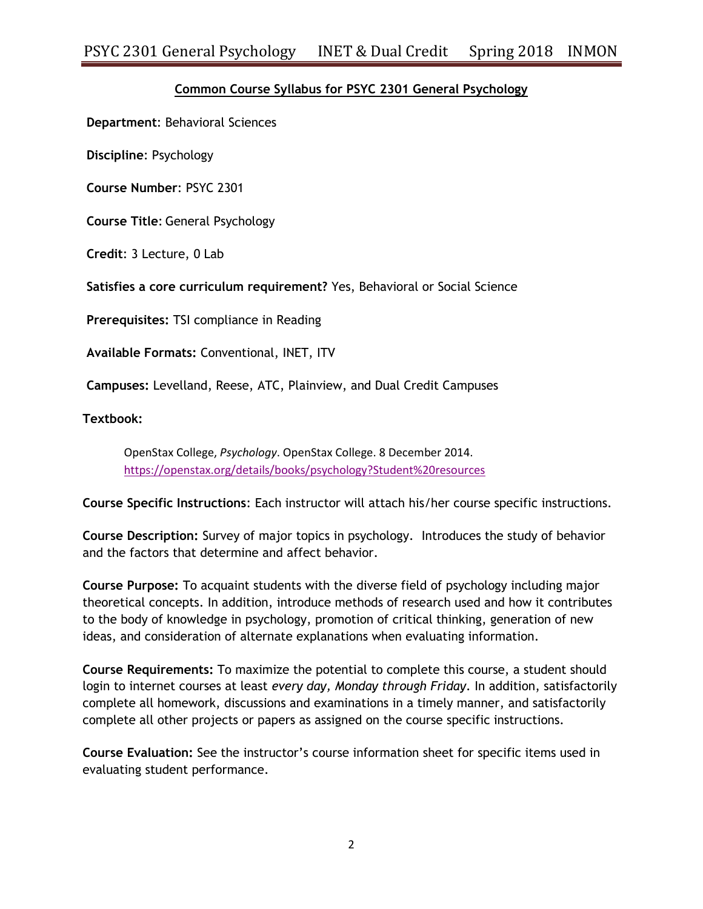# **Common Course Syllabus for PSYC 2301 General Psychology**

**Department**: Behavioral Sciences

**Discipline**: Psychology

**Course Number**: PSYC 2301

**Course Title**: General Psychology

**Credit**: 3 Lecture, 0 Lab

**Satisfies a core curriculum requirement?** Yes, Behavioral or Social Science

**Prerequisites:** TSI compliance in Reading

**Available Formats:** Conventional, INET, ITV

**Campuses:** Levelland, Reese, ATC, Plainview, and Dual Credit Campuses

**Textbook:**

OpenStax College, *Psychology*. OpenStax College. 8 December 2014. <https://openstax.org/details/books/psychology?Student%20resources>

**Course Specific Instructions**: Each instructor will attach his/her course specific instructions.

**Course Description:** Survey of major topics in psychology. Introduces the study of behavior and the factors that determine and affect behavior.

**Course Purpose:** To acquaint students with the diverse field of psychology including major theoretical concepts. In addition, introduce methods of research used and how it contributes to the body of knowledge in psychology, promotion of critical thinking, generation of new ideas, and consideration of alternate explanations when evaluating information.

**Course Requirements:** To maximize the potential to complete this course, a student should login to internet courses at least *every day, Monday through Friday*. In addition, satisfactorily complete all homework, discussions and examinations in a timely manner, and satisfactorily complete all other projects or papers as assigned on the course specific instructions.

**Course Evaluation:** See the instructor's course information sheet for specific items used in evaluating student performance.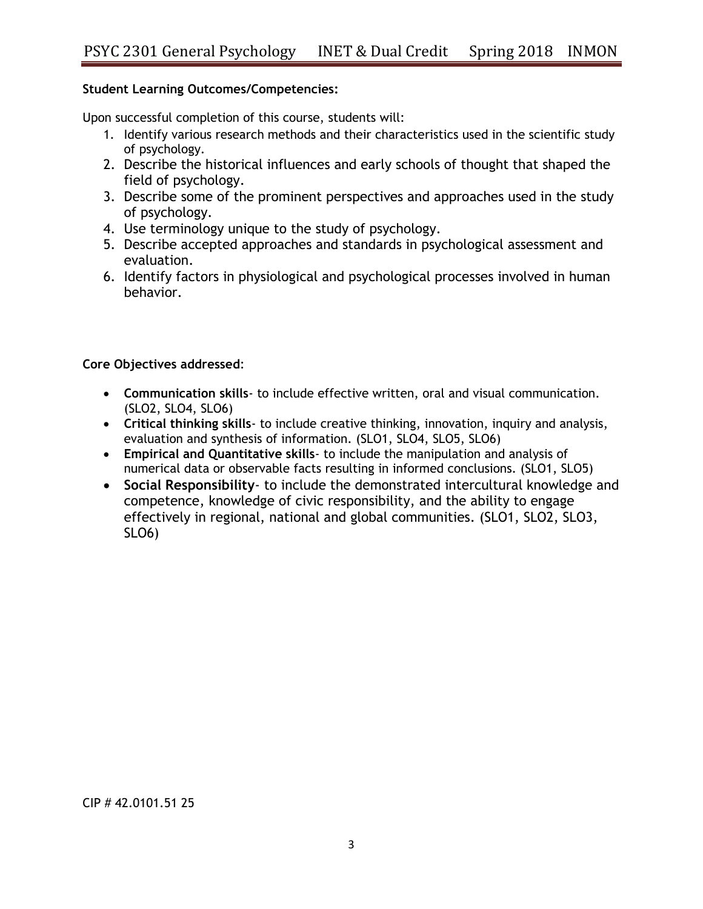# **Student Learning Outcomes/Competencies:**

Upon successful completion of this course, students will:

- 1. Identify various research methods and their characteristics used in the scientific study of psychology.
- 2. Describe the historical influences and early schools of thought that shaped the field of psychology.
- 3. Describe some of the prominent perspectives and approaches used in the study of psychology.
- 4. Use terminology unique to the study of psychology.
- 5. Describe accepted approaches and standards in psychological assessment and evaluation.
- 6. Identify factors in physiological and psychological processes involved in human behavior.

## **Core Objectives addressed**:

- **Communication skills** to include effective written, oral and visual communication. (SLO2, SLO4, SLO6)
- **Critical thinking skills** to include creative thinking, innovation, inquiry and analysis, evaluation and synthesis of information. (SLO1, SLO4, SLO5, SLO6)
- **Empirical and Quantitative skills** to include the manipulation and analysis of numerical data or observable facts resulting in informed conclusions. (SLO1, SLO5)
- **Social Responsibility** to include the demonstrated intercultural knowledge and competence, knowledge of civic responsibility, and the ability to engage effectively in regional, national and global communities. (SLO1, SLO2, SLO3, SLO6)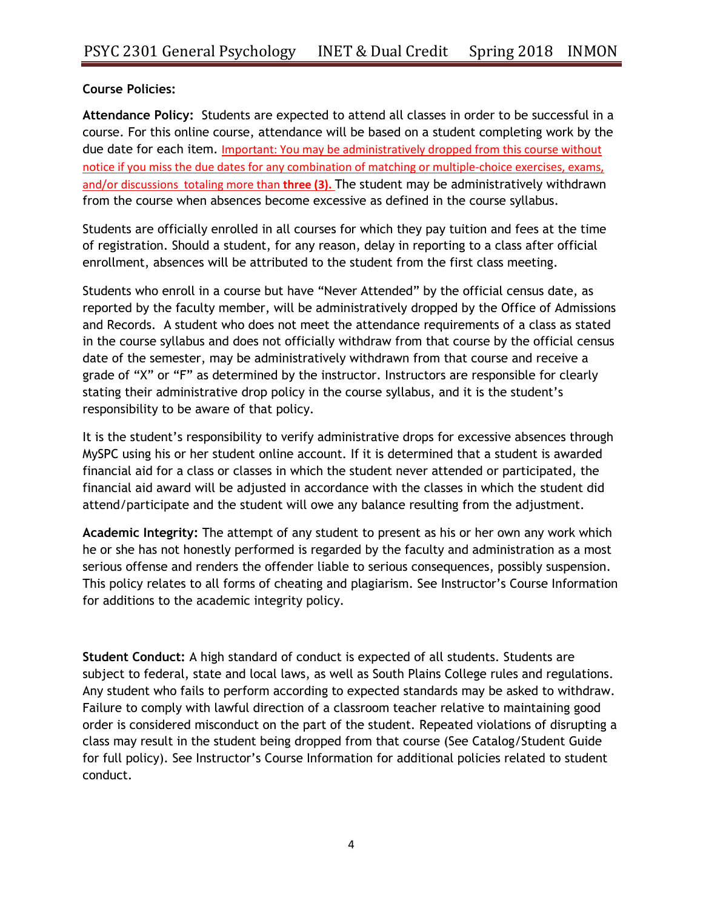## **Course Policies:**

**Attendance Policy:** Students are expected to attend all classes in order to be successful in a course. For this online course, attendance will be based on a student completing work by the due date for each item. Important: You may be administratively dropped from this course without notice if you miss the due dates for any combination of matching or multiple-choice exercises, exams, and/or discussions totaling more than **three (3).** The student may be administratively withdrawn from the course when absences become excessive as defined in the course syllabus.

Students are officially enrolled in all courses for which they pay tuition and fees at the time of registration. Should a student, for any reason, delay in reporting to a class after official enrollment, absences will be attributed to the student from the first class meeting.

Students who enroll in a course but have "Never Attended" by the official census date, as reported by the faculty member, will be administratively dropped by the Office of Admissions and Records. A student who does not meet the attendance requirements of a class as stated in the course syllabus and does not officially withdraw from that course by the official census date of the semester, may be administratively withdrawn from that course and receive a grade of "X" or "F" as determined by the instructor. Instructors are responsible for clearly stating their administrative drop policy in the course syllabus, and it is the student's responsibility to be aware of that policy.

It is the student's responsibility to verify administrative drops for excessive absences through MySPC using his or her student online account. If it is determined that a student is awarded financial aid for a class or classes in which the student never attended or participated, the financial aid award will be adjusted in accordance with the classes in which the student did attend/participate and the student will owe any balance resulting from the adjustment.

**Academic Integrity:** The attempt of any student to present as his or her own any work which he or she has not honestly performed is regarded by the faculty and administration as a most serious offense and renders the offender liable to serious consequences, possibly suspension. This policy relates to all forms of cheating and plagiarism. See Instructor's Course Information for additions to the academic integrity policy.

**Student Conduct:** A high standard of conduct is expected of all students. Students are subject to federal, state and local laws, as well as South Plains College rules and regulations. Any student who fails to perform according to expected standards may be asked to withdraw. Failure to comply with lawful direction of a classroom teacher relative to maintaining good order is considered misconduct on the part of the student. Repeated violations of disrupting a class may result in the student being dropped from that course (See Catalog/Student Guide for full policy). See Instructor's Course Information for additional policies related to student conduct.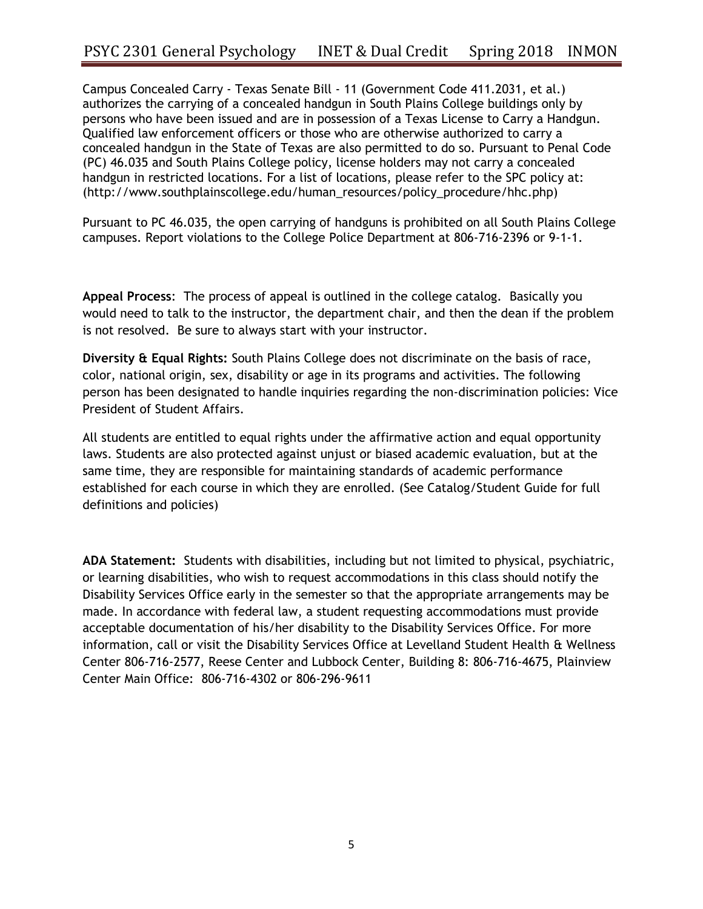Campus Concealed Carry - Texas Senate Bill - 11 (Government Code 411.2031, et al.) authorizes the carrying of a concealed handgun in South Plains College buildings only by persons who have been issued and are in possession of a Texas License to Carry a Handgun. Qualified law enforcement officers or those who are otherwise authorized to carry a concealed handgun in the State of Texas are also permitted to do so. Pursuant to Penal Code (PC) 46.035 and South Plains College policy, license holders may not carry a concealed handgun in restricted locations. For a list of locations, please refer to the SPC policy at: (http://www.southplainscollege.edu/human\_resources/policy\_procedure/hhc.php)

Pursuant to PC 46.035, the open carrying of handguns is prohibited on all South Plains College campuses. Report violations to the College Police Department at 806-716-2396 or 9-1-1.

**Appeal Process**: The process of appeal is outlined in the college catalog. Basically you would need to talk to the instructor, the department chair, and then the dean if the problem is not resolved. Be sure to always start with your instructor.

**Diversity & Equal Rights:** South Plains College does not discriminate on the basis of race, color, national origin, sex, disability or age in its programs and activities. The following person has been designated to handle inquiries regarding the non-discrimination policies: Vice President of Student Affairs.

All students are entitled to equal rights under the affirmative action and equal opportunity laws. Students are also protected against unjust or biased academic evaluation, but at the same time, they are responsible for maintaining standards of academic performance established for each course in which they are enrolled. (See Catalog/Student Guide for full definitions and policies)

**ADA Statement:** Students with disabilities, including but not limited to physical, psychiatric, or learning disabilities, who wish to request accommodations in this class should notify the Disability Services Office early in the semester so that the appropriate arrangements may be made. In accordance with federal law, a student requesting accommodations must provide acceptable documentation of his/her disability to the Disability Services Office. For more information, call or visit the Disability Services Office at Levelland Student Health & Wellness Center 806-716-2577, Reese Center and Lubbock Center, Building 8: 806-716-4675, Plainview Center Main Office: 806-716-4302 or 806-296-9611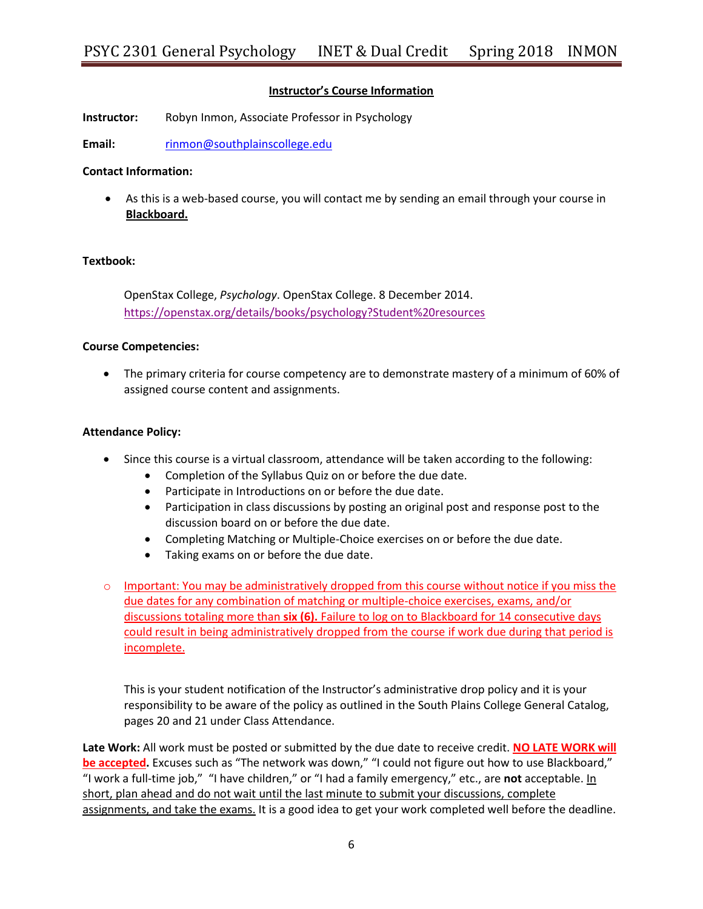## **Instructor's Course Information**

**Instructor:** Robyn Inmon, Associate Professor in Psychology

**Email:** [rinmon@southplainscollege.edu](mailto:rinmon@southplainscollege.edu)

#### **Contact Information:**

 As this is a web-based course, you will contact me by sending an email through your course in **Blackboard.**

#### **Textbook:**

OpenStax College, *Psychology*. OpenStax College. 8 December 2014. <https://openstax.org/details/books/psychology?Student%20resources>

#### **Course Competencies:**

 The primary criteria for course competency are to demonstrate mastery of a minimum of 60% of assigned course content and assignments.

#### **Attendance Policy:**

- Since this course is a virtual classroom, attendance will be taken according to the following:
	- Completion of the Syllabus Quiz on or before the due date.
	- Participate in Introductions on or before the due date.
	- Participation in class discussions by posting an original post and response post to the discussion board on or before the due date.
	- Completing Matching or Multiple-Choice exercises on or before the due date.
	- Taking exams on or before the due date.
- o Important: You may be administratively dropped from this course without notice if you miss the due dates for any combination of matching or multiple-choice exercises, exams, and/or discussions totaling more than **six (6).** Failure to log on to Blackboard for 14 consecutive days could result in being administratively dropped from the course if work due during that period is incomplete.

This is your student notification of the Instructor's administrative drop policy and it is your responsibility to be aware of the policy as outlined in the South Plains College General Catalog, pages 20 and 21 under Class Attendance.

**Late Work:** All work must be posted or submitted by the due date to receive credit. **NO LATE WORK will be accepted.** Excuses such as "The network was down," "I could not figure out how to use Blackboard," "I work a full-time job," "I have children," or "I had a family emergency," etc., are **not** acceptable. In short, plan ahead and do not wait until the last minute to submit your discussions, complete assignments, and take the exams. It is a good idea to get your work completed well before the deadline.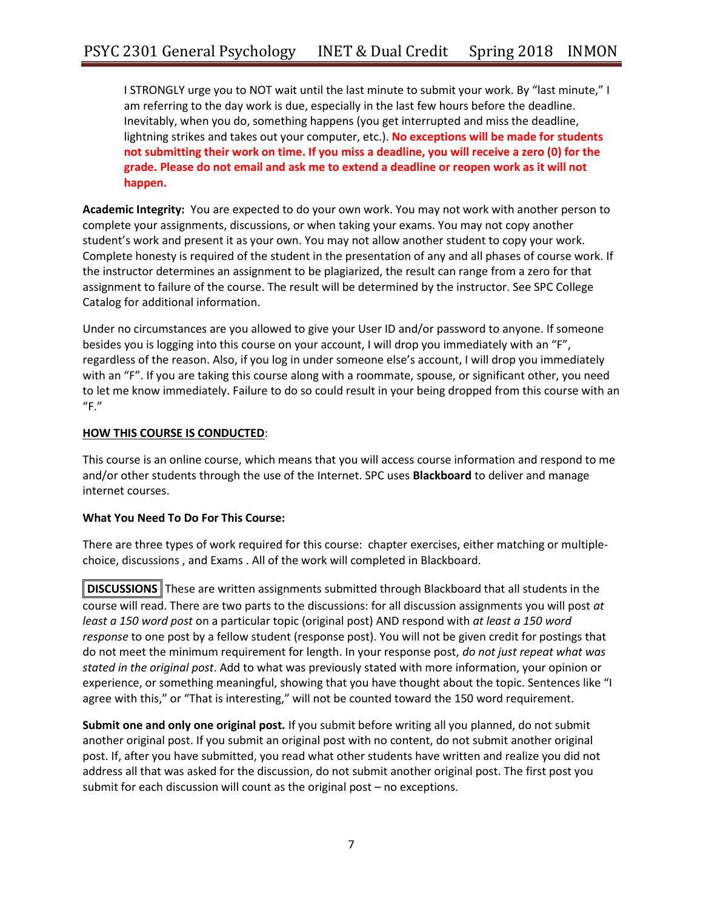I STRONGLY urge you to NOT wait until the last minute to submit your work. By "last minute," I am referring to the day work is due, especially in the last few hours before the deadline. Inevitably, when you do, something happens (you get interrupted and miss the deadline, lightning strikes and takes out your computer, etc.). **No exceptions will be made for students not submitting their work on time. If you miss a deadline, you will receive a zero (0) for the grade. Please do not email and ask me to extend a deadline or reopen work as it will not happen.**

**Academic Integrity:** You are expected to do your own work. You may not work with another person to complete your assignments, discussions, or when taking your exams. You may not copy another student's work and present it as your own. You may not allow another student to copy your work. Complete honesty is required of the student in the presentation of any and all phases of course work. If the instructor determines an assignment to be plagiarized, the result can range from a zero for that assignment to failure of the course. The result will be determined by the instructor. See SPC College Catalog for additional information.

Under no circumstances are you allowed to give your User ID and/or password to anyone. If someone besides you is logging into this course on your account, I will drop you immediately with an "F", regardless of the reason. Also, if you log in under someone else's account, I will drop you immediately with an "F". If you are taking this course along with a roommate, spouse, or significant other, you need to let me know immediately. Failure to do so could result in your being dropped from this course with an  $"F."$ 

## **HOW THIS COURSE IS CONDUCTED**:

This course is an online course, which means that you will access course information and respond to me and/or other students through the use of the Internet. SPC uses **Blackboard** to deliver and manage internet courses.

## **What You Need To Do For This Course:**

There are three types of work required for this course: chapter exercises, either matching or multiplechoice, discussions , and Exams . All of the work will completed in Blackboard.

**DISCUSSIONS** These are written assignments submitted through Blackboard that all students in the course will read. There are two parts to the discussions: for all discussion assignments you will post *at least a 150 word post* on a particular topic (original post) AND respond with *at least a 150 word response* to one post by a fellow student (response post). You will not be given credit for postings that do not meet the minimum requirement for length. In your response post, *do not just repeat what was stated in the original post*. Add to what was previously stated with more information, your opinion or experience, or something meaningful, showing that you have thought about the topic. Sentences like "I agree with this," or "That is interesting," will not be counted toward the 150 word requirement.

**Submit one and only one original post.** If you submit before writing all you planned, do not submit another original post. If you submit an original post with no content, do not submit another original post. If, after you have submitted, you read what other students have written and realize you did not address all that was asked for the discussion, do not submit another original post. The first post you submit for each discussion will count as the original post – no exceptions.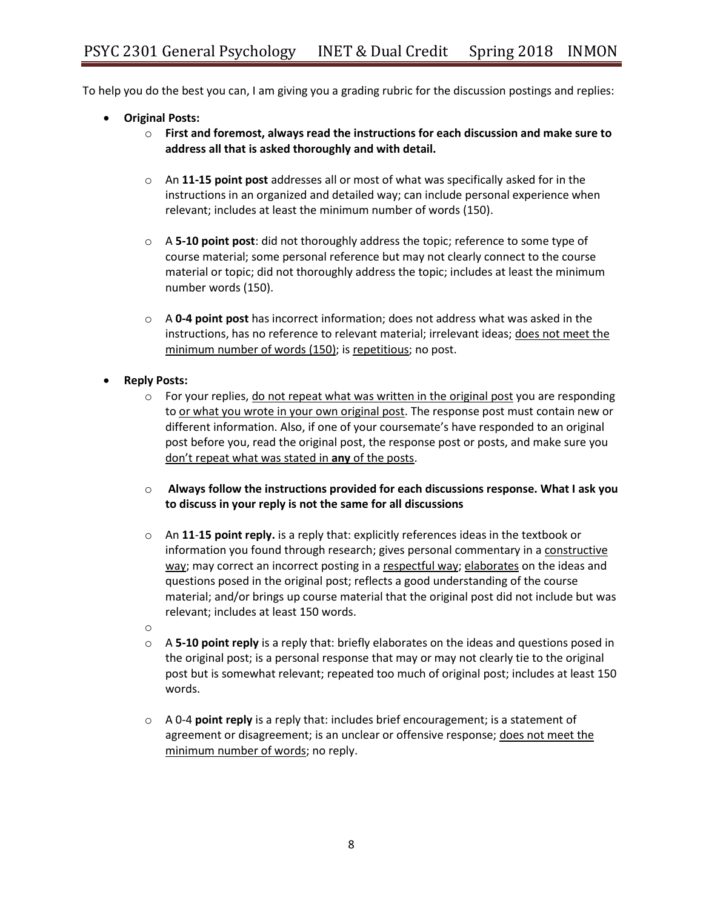To help you do the best you can, I am giving you a grading rubric for the discussion postings and replies:

- **Original Posts:**
	- o **First and foremost, always read the instructions for each discussion and make sure to address all that is asked thoroughly and with detail.**
	- o An **11-15 point post** addresses all or most of what was specifically asked for in the instructions in an organized and detailed way; can include personal experience when relevant; includes at least the minimum number of words (150).
	- o A **5-10 point post**: did not thoroughly address the topic; reference to some type of course material; some personal reference but may not clearly connect to the course material or topic; did not thoroughly address the topic; includes at least the minimum number words (150).
	- o A **0-4 point post** has incorrect information; does not address what was asked in the instructions, has no reference to relevant material; irrelevant ideas; does not meet the minimum number of words (150); is repetitious; no post.
- **Reply Posts:**
	- $\circ$  For your replies, do not repeat what was written in the original post you are responding to or what you wrote in your own original post. The response post must contain new or different information. Also, if one of your coursemate's have responded to an original post before you, read the original post, the response post or posts, and make sure you don't repeat what was stated in **any** of the posts.
	- o **Always follow the instructions provided for each discussions response. What I ask you to discuss in your reply is not the same for all discussions**
	- o An **11**-**15 point reply.** is a reply that: explicitly references ideas in the textbook or information you found through research; gives personal commentary in a constructive way; may correct an incorrect posting in a respectful way; elaborates on the ideas and questions posed in the original post; reflects a good understanding of the course material; and/or brings up course material that the original post did not include but was relevant; includes at least 150 words.
	- o
	- o A **5-10 point reply** is a reply that: briefly elaborates on the ideas and questions posed in the original post; is a personal response that may or may not clearly tie to the original post but is somewhat relevant; repeated too much of original post; includes at least 150 words.
	- o A 0-4 **point reply** is a reply that: includes brief encouragement; is a statement of agreement or disagreement; is an unclear or offensive response; does not meet the minimum number of words; no reply.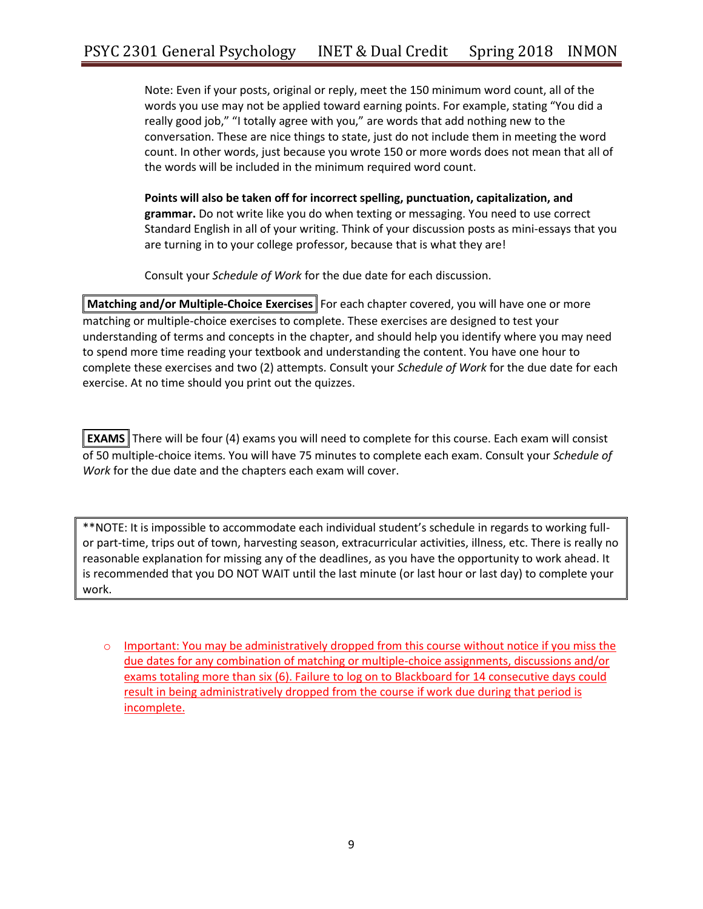Note: Even if your posts, original or reply, meet the 150 minimum word count, all of the words you use may not be applied toward earning points. For example, stating "You did a really good job," "I totally agree with you," are words that add nothing new to the conversation. These are nice things to state, just do not include them in meeting the word count. In other words, just because you wrote 150 or more words does not mean that all of the words will be included in the minimum required word count.

**Points will also be taken off for incorrect spelling, punctuation, capitalization, and grammar.** Do not write like you do when texting or messaging. You need to use correct Standard English in all of your writing. Think of your discussion posts as mini-essays that you are turning in to your college professor, because that is what they are!

Consult your *Schedule of Work* for the due date for each discussion.

**Matching and/or Multiple-Choice Exercises** For each chapter covered, you will have one or more matching or multiple-choice exercises to complete. These exercises are designed to test your understanding of terms and concepts in the chapter, and should help you identify where you may need to spend more time reading your textbook and understanding the content. You have one hour to complete these exercises and two (2) attempts. Consult your *Schedule of Work* for the due date for each exercise. At no time should you print out the quizzes.

**EXAMS** There will be four (4) exams you will need to complete for this course. Each exam will consist of 50 multiple-choice items. You will have 75 minutes to complete each exam. Consult your *Schedule of Work* for the due date and the chapters each exam will cover.

\*\*NOTE: It is impossible to accommodate each individual student's schedule in regards to working fullor part-time, trips out of town, harvesting season, extracurricular activities, illness, etc. There is really no reasonable explanation for missing any of the deadlines, as you have the opportunity to work ahead. It is recommended that you DO NOT WAIT until the last minute (or last hour or last day) to complete your work.

o Important: You may be administratively dropped from this course without notice if you miss the due dates for any combination of matching or multiple-choice assignments, discussions and/or exams totaling more than six (6). Failure to log on to Blackboard for 14 consecutive days could result in being administratively dropped from the course if work due during that period is incomplete.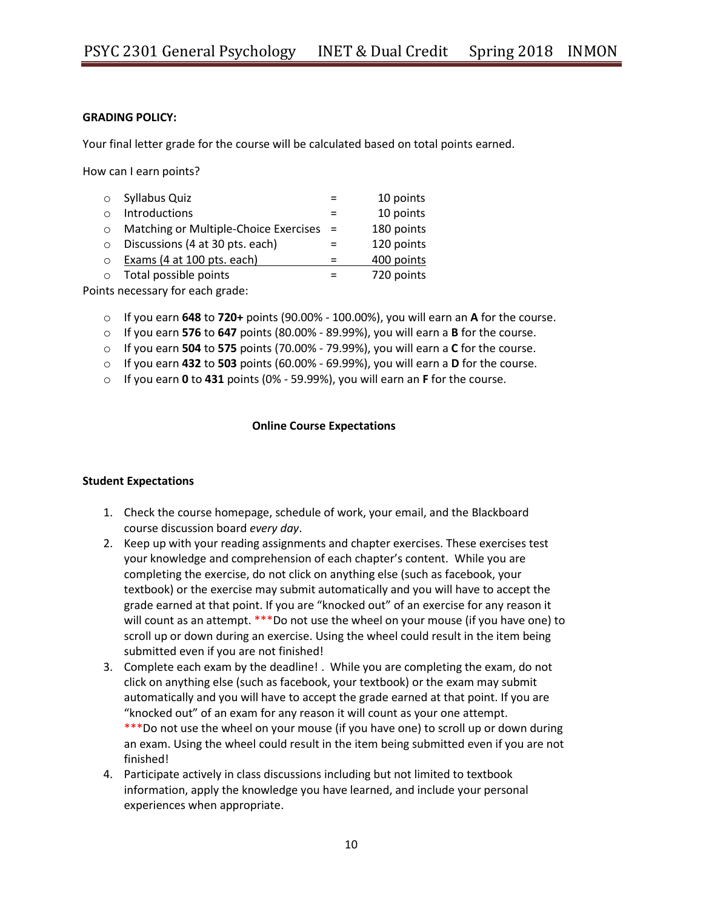## **GRADING POLICY:**

Your final letter grade for the course will be calculated based on total points earned.

How can I earn points?

| $\circ$    | Syllabus Quiz                           | 10 points  |
|------------|-----------------------------------------|------------|
|            | Introductions                           | 10 points  |
|            | Matching or Multiple-Choice Exercises = | 180 points |
|            | Discussions (4 at 30 pts. each)         | 120 points |
| $\bigcirc$ | Exams (4 at 100 pts. each)              | 400 points |
|            | Total possible points                   | 720 points |

Points necessary for each grade:

- o If you earn **648** to **720+** points (90.00% 100.00%), you will earn an **A** for the course.
- o If you earn **576** to **647** points (80.00% 89.99%), you will earn a **B** for the course.
- o If you earn **504** to **575** points (70.00% 79.99%), you will earn a **C** for the course.
- o If you earn **432** to **503** points (60.00% 69.99%), you will earn a **D** for the course.
- o If you earn **0** to **431** points (0% 59.99%), you will earn an **F** for the course.

## **Online Course Expectations**

#### **Student Expectations**

- 1. Check the course homepage, schedule of work, your email, and the Blackboard course discussion board *every day*.
- 2. Keep up with your reading assignments and chapter exercises. These exercises test your knowledge and comprehension of each chapter's content. While you are completing the exercise, do not click on anything else (such as facebook, your textbook) or the exercise may submit automatically and you will have to accept the grade earned at that point. If you are "knocked out" of an exercise for any reason it will count as an attempt. \*\*\*Do not use the wheel on your mouse (if you have one) to scroll up or down during an exercise. Using the wheel could result in the item being submitted even if you are not finished!
- 3. Complete each exam by the deadline! . While you are completing the exam, do not click on anything else (such as facebook, your textbook) or the exam may submit automatically and you will have to accept the grade earned at that point. If you are "knocked out" of an exam for any reason it will count as your one attempt. \*\*\*Do not use the wheel on your mouse (if you have one) to scroll up or down during an exam. Using the wheel could result in the item being submitted even if you are not finished!
- 4. Participate actively in class discussions including but not limited to textbook information, apply the knowledge you have learned, and include your personal experiences when appropriate.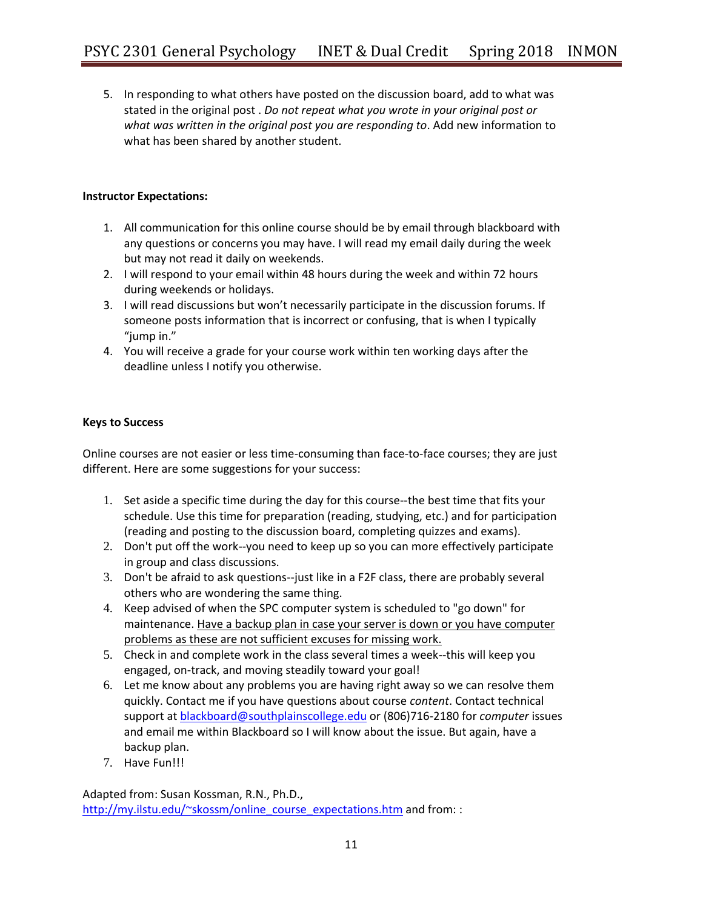5. In responding to what others have posted on the discussion board, add to what was stated in the original post . *Do not repeat what you wrote in your original post or what was written in the original post you are responding to*. Add new information to what has been shared by another student.

## **Instructor Expectations:**

- 1. All communication for this online course should be by email through blackboard with any questions or concerns you may have. I will read my email daily during the week but may not read it daily on weekends.
- 2. I will respond to your email within 48 hours during the week and within 72 hours during weekends or holidays.
- 3. I will read discussions but won't necessarily participate in the discussion forums. If someone posts information that is incorrect or confusing, that is when I typically "jump in."
- 4. You will receive a grade for your course work within ten working days after the deadline unless I notify you otherwise.

## **Keys to Success**

Online courses are not easier or less time-consuming than face-to-face courses; they are just different. Here are some suggestions for your success:

- 1. Set aside a specific time during the day for this course--the best time that fits your schedule. Use this time for preparation (reading, studying, etc.) and for participation (reading and posting to the discussion board, completing quizzes and exams).
- 2. Don't put off the work--you need to keep up so you can more effectively participate in group and class discussions.
- 3. Don't be afraid to ask questions--just like in a F2F class, there are probably several others who are wondering the same thing.
- 4. Keep advised of when the SPC computer system is scheduled to "go down" for maintenance. Have a backup plan in case your server is down or you have computer problems as these are not sufficient excuses for missing work.
- 5. Check in and complete work in the class several times a week--this will keep you engaged, on-track, and moving steadily toward your goal!
- 6. Let me know about any problems you are having right away so we can resolve them quickly. Contact me if you have questions about course *content*. Contact technical support at [blackboard@southplainscollege.edu](mailto:blackboard@southplainscollege.edu) or (806)716-2180 for *computer* issues and email me within Blackboard so I will know about the issue. But again, have a backup plan.
- 7. Have Fun!!!

Adapted from: Susan Kossman, R.N., Ph.D., [http://my.ilstu.edu/~skossm/online\\_course\\_expectations.htm](http://my.ilstu.edu/~skossm/online_course_expectations.htm) and from: :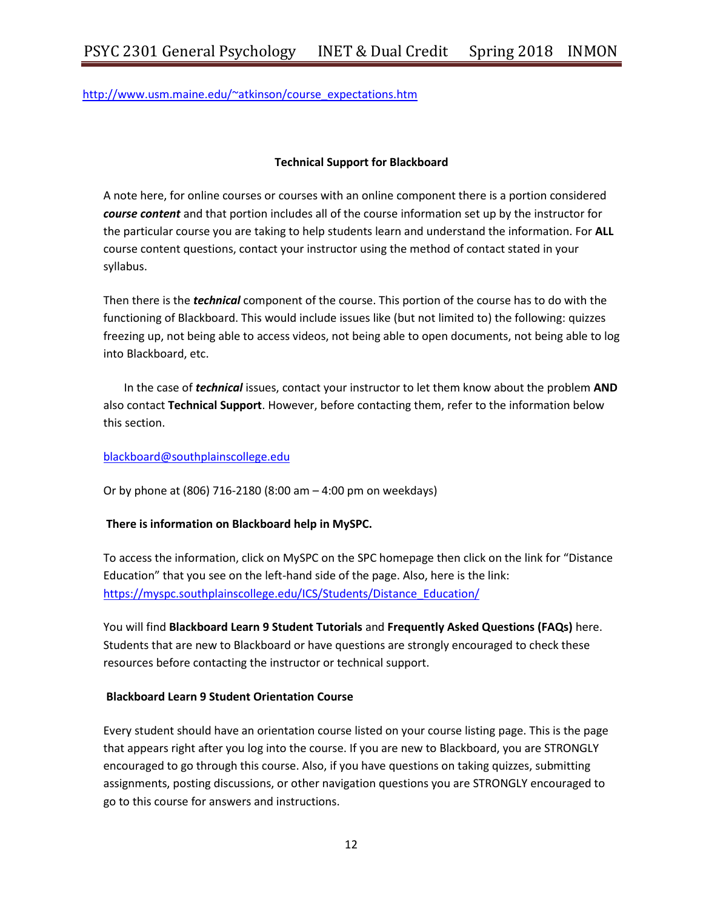[http://www.usm.maine.edu/~atkinson/course\\_expectations.htm](http://www.usm.maine.edu/~atkinson/course_expectations.htm)

## **Technical Support for Blackboard**

A note here, for online courses or courses with an online component there is a portion considered *course content* and that portion includes all of the course information set up by the instructor for the particular course you are taking to help students learn and understand the information. For **ALL**  course content questions, contact your instructor using the method of contact stated in your syllabus.

Then there is the *technical* component of the course. This portion of the course has to do with the functioning of Blackboard. This would include issues like (but not limited to) the following: quizzes freezing up, not being able to access videos, not being able to open documents, not being able to log into Blackboard, etc.

In the case of *technical* issues, contact your instructor to let them know about the problem **AND**  also contact **Technical Support**. However, before contacting them, refer to the information below this section.

#### [blackboard@southplainscollege.edu](mailto:blackboard@southplainscollege.edu)

Or by phone at (806) 716-2180 (8:00 am – 4:00 pm on weekdays)

## **There is information on Blackboard help in MySPC.**

To access the information, click on MySPC on the SPC homepage then click on the link for "Distance Education" that you see on the left-hand side of the page. Also, here is the link: [https://myspc.southplainscollege.edu/ICS/Students/Distance\\_Education/](https://myspc.southplainscollege.edu/ICS/Students/Distance_Education/)

You will find **Blackboard Learn 9 Student Tutorials** and **Frequently Asked Questions (FAQs)** here. Students that are new to Blackboard or have questions are strongly encouraged to check these resources before contacting the instructor or technical support.

#### **Blackboard Learn 9 Student Orientation Course**

Every student should have an orientation course listed on your course listing page. This is the page that appears right after you log into the course. If you are new to Blackboard, you are STRONGLY encouraged to go through this course. Also, if you have questions on taking quizzes, submitting assignments, posting discussions, or other navigation questions you are STRONGLY encouraged to go to this course for answers and instructions.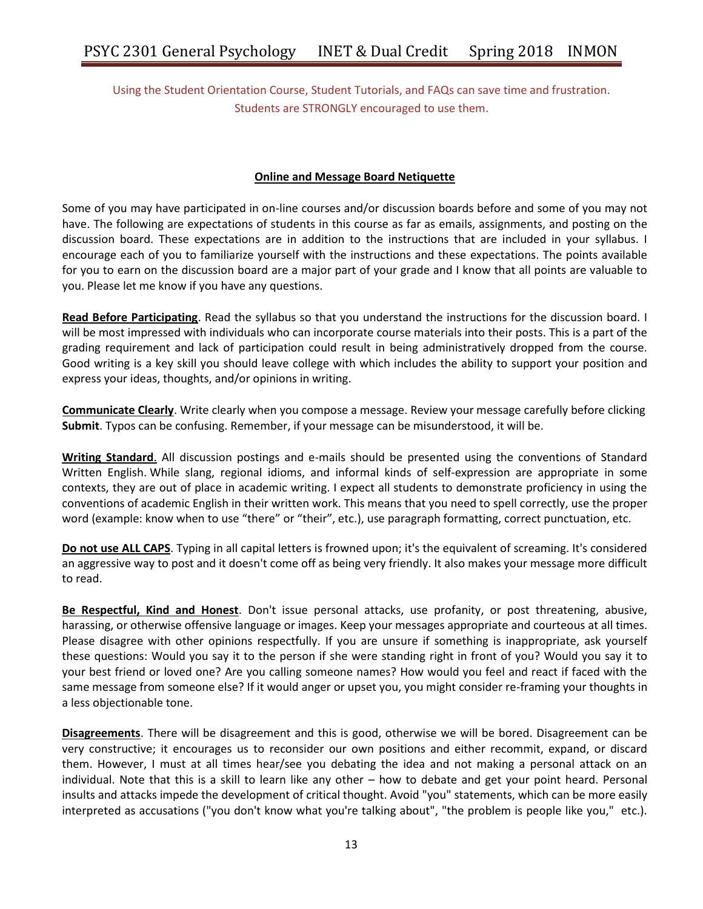Using the Student Orientation Course, Student Tutorials, and FAQs can save time and frustration. Students are STRONGLY encouraged to use them.

## **Online and Message Board Netiquette**

Some of you may have participated in on-line courses and/or discussion boards before and some of you may not have. The following are expectations of students in this course as far as emails, assignments, and posting on the discussion board. These expectations are in addition to the instructions that are included in your syllabus. I encourage each of you to familiarize yourself with the instructions and these expectations. The points available for you to earn on the discussion board are a major part of your grade and I know that all points are valuable to you. Please let me know if you have any questions.

**Read Before Participating**. Read the syllabus so that you understand the instructions for the discussion board. I will be most impressed with individuals who can incorporate course materials into their posts. This is a part of the grading requirement and lack of participation could result in being administratively dropped from the course. Good writing is a key skill you should leave college with which includes the ability to support your position and express your ideas, thoughts, and/or opinions in writing.

**Communicate Clearly**. Write clearly when you compose a message. Review your message carefully before clicking **Submit**. Typos can be confusing. Remember, if your message can be misunderstood, it will be.

**Writing Standard**. All discussion postings and e-mails should be presented using the conventions of Standard Written English. While slang, regional idioms, and informal kinds of self-expression are appropriate in some contexts, they are out of place in academic writing. I expect all students to demonstrate proficiency in using the conventions of academic English in their written work. This means that you need to spell correctly, use the proper word (example: know when to use "there" or "their", etc.), use paragraph formatting, correct punctuation, etc.

**Do not use ALL CAPS**. Typing in all capital letters is frowned upon; it's the equivalent of screaming. It's considered an aggressive way to post and it doesn't come off as being very friendly. It also makes your message more difficult to read.

**Be Respectful, Kind and Honest**. Don't issue personal attacks, use profanity, or post threatening, abusive, harassing, or otherwise offensive language or images. Keep your messages appropriate and courteous at all times. Please disagree with other opinions respectfully. If you are unsure if something is inappropriate, ask yourself these questions: Would you say it to the person if she were standing right in front of you? Would you say it to your best friend or loved one? Are you calling someone names? How would you feel and react if faced with the same message from someone else? If it would anger or upset you, you might consider re-framing your thoughts in a less objectionable tone.

**Disagreements**. There will be disagreement and this is good, otherwise we will be bored. Disagreement can be very constructive; it encourages us to reconsider our own positions and either recommit, expand, or discard them. However, I must at all times hear/see you debating the idea and not making a personal attack on an individual. Note that this is a skill to learn like any other – how to debate and get your point heard. Personal insults and attacks impede the development of critical thought. Avoid "you" statements, which can be more easily interpreted as accusations ("you don't know what you're talking about", "the problem is people like you," etc.).